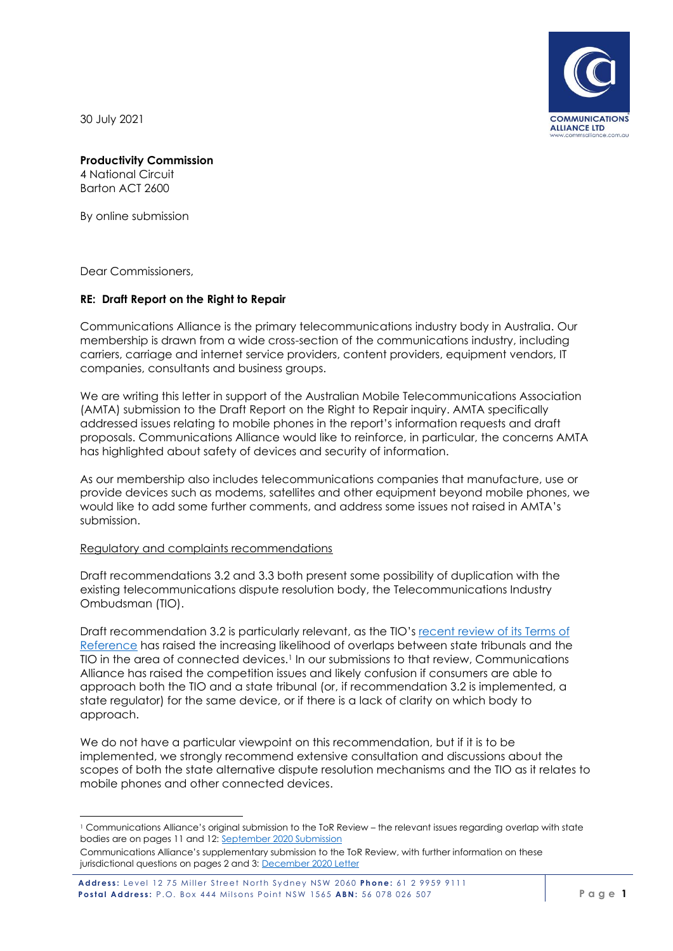**COMMUNICATIONS ALLIANCE LTD** 

30 July 2021

# **Productivity Commission**

4 National Circuit Barton ACT 2600

By online submission

Dear Commissioners,

# **RE: Draft Report on the Right to Repair**

Communications Alliance is the primary telecommunications industry body in Australia. Our membership is drawn from a wide cross-section of the communications industry, including carriers, carriage and internet service providers, content providers, equipment vendors, IT companies, consultants and business groups.

We are writing this letter in support of the Australian Mobile Telecommunications Association (AMTA) submission to the Draft Report on the Right to Repair inquiry. AMTA specifically addressed issues relating to mobile phones in the report's information requests and draft proposals. Communications Alliance would like to reinforce, in particular, the concerns AMTA has highlighted about safety of devices and security of information.

As our membership also includes telecommunications companies that manufacture, use or provide devices such as modems, satellites and other equipment beyond mobile phones, we would like to add some further comments, and address some issues not raised in AMTA's submission.

# Regulatory and complaints recommendations

Draft recommendations 3.2 and 3.3 both present some possibility of duplication with the existing telecommunications dispute resolution body, the Telecommunications Industry Ombudsman (TIO).

Draft recommendation 3.2 is particularly relevant, as the TIO's [recent review of its](https://www.tio.com.au/news/2020-terms-reference-modernisation) Terms of [Reference](https://www.tio.com.au/news/2020-terms-reference-modernisation) has raised the increasing likelihood of overlaps between state tribunals and the TIO in the area of connected devices.<sup>1</sup> In our submissions to that review, Communications Alliance has raised the competition issues and likely confusion if consumers are able to approach both the TIO and a state tribunal (or, if recommendation 3.2 is implemented, a state regulator) for the same device, or if there is a lack of clarity on which body to approach.

We do not have a particular viewpoint on this recommendation, but if it is to be implemented, we strongly recommend extensive consultation and discussions about the scopes of both the state alternative dispute resolution mechanisms and the TIO as it relates to mobile phones and other connected devices.

<sup>1</sup> Communications Alliance's original submission to the ToR Review – the relevant issues regarding overlap with state bodies are on pages 11 and 12: [September 2020 Submission](https://www.commsalliance.com.au/__data/assets/pdf_file/0018/72324/Communications-Alliance-Submission-to-TIO-Terms-of-Reference-Review-September-2020.pdf)

Communications Alliance's supplementary submission to the ToR Review, with further information on these jurisdictional questions on pages 2 and 3[: December 2020 Letter](https://www.tio.com.au/sites/default/files/2021-06/7.%20Comms%20Alliance%20Letter%20to%20TIO%20re%20ToR%20December%202020%20FINAL.pdf)

Address: Level 12 75 Miller Street North Sydney NSW 2060 Phone: 61 2 9959 9111 **Postal Address:** P.O. Box 444 Milsons Point NSW 1565 ABN: 56 078 026 507 **Page 1 P** age 1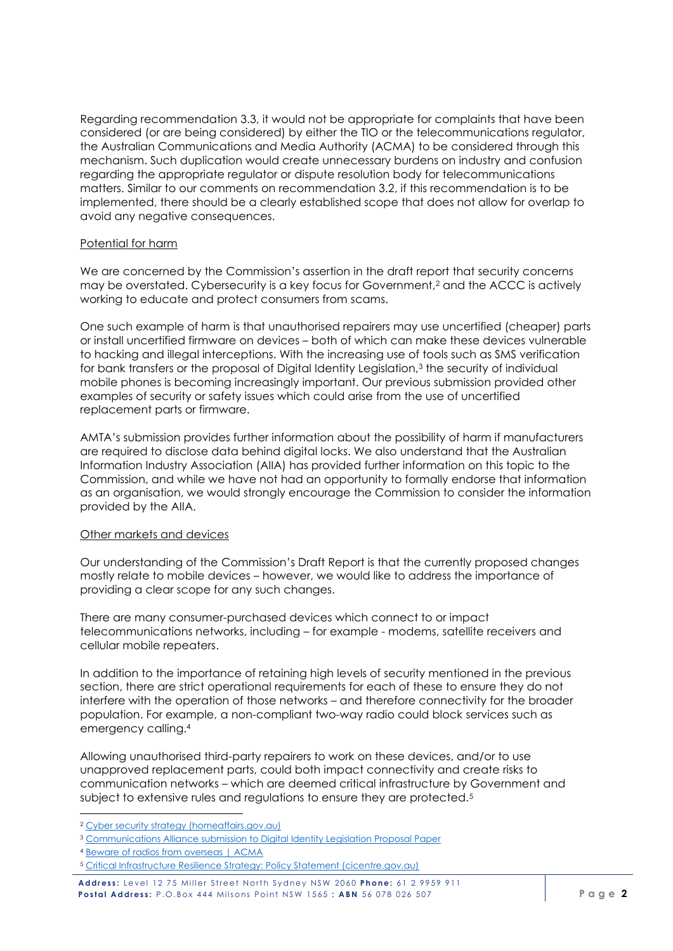Regarding recommendation 3.3, it would not be appropriate for complaints that have been considered (or are being considered) by either the TIO or the telecommunications regulator, the Australian Communications and Media Authority (ACMA) to be considered through this mechanism. Such duplication would create unnecessary burdens on industry and confusion regarding the appropriate regulator or dispute resolution body for telecommunications matters. Similar to our comments on recommendation 3.2, if this recommendation is to be implemented, there should be a clearly established scope that does not allow for overlap to avoid any negative consequences.

# Potential for harm

We are concerned by the Commission's assertion in the draft report that security concerns may be overstated. Cybersecurity is a key focus for Government, <sup>2</sup> and the ACCC is actively working to educate and protect consumers from scams.

One such example of harm is that unauthorised repairers may use uncertified (cheaper) parts or install uncertified firmware on devices – both of which can make these devices vulnerable to hacking and illegal interceptions. With the increasing use of tools such as SMS verification for bank transfers or the proposal of Digital Identity Legislation,<sup>3</sup> the security of individual mobile phones is becoming increasingly important. Our previous submission provided other examples of security or safety issues which could arise from the use of uncertified replacement parts or firmware.

AMTA's submission provides further information about the possibility of harm if manufacturers are required to disclose data behind digital locks. We also understand that the Australian Information Industry Association (AIIA) has provided further information on this topic to the Commission, and while we have not had an opportunity to formally endorse that information as an organisation, we would strongly encourage the Commission to consider the information provided by the AIIA.

# Other markets and devices

Our understanding of the Commission's Draft Report is that the currently proposed changes mostly relate to mobile devices – however, we would like to address the importance of providing a clear scope for any such changes.

There are many consumer-purchased devices which connect to or impact telecommunications networks, including – for example - modems, satellite receivers and cellular mobile repeaters.

In addition to the importance of retaining high levels of security mentioned in the previous section, there are strict operational requirements for each of these to ensure they do not interfere with the operation of those networks – and therefore connectivity for the broader population. For example, a non-compliant two-way radio could block services such as emergency calling.<sup>4</sup>

Allowing unauthorised third-party repairers to work on these devices, and/or to use unapproved replacement parts, could both impact connectivity and create risks to communication networks – which are deemed critical infrastructure by Government and subject to extensive rules and regulations to ensure they are protected.<sup>5</sup>

<sup>2</sup> [Cyber security strategy \(homeaffairs.gov.au\)](https://www.homeaffairs.gov.au/about-us/our-portfolios/cyber-security/strategy)

<sup>&</sup>lt;sup>3</sup> [Communications Alliance submission to Digital Identity Legislation Proposal Paper](https://www.commsalliance.com.au/__data/assets/pdf_file/0009/77625/210714_CA-submission_DTA-Digital-ID-Leg-Position-Paper_SUBMITTED.pdf)

<sup>4</sup> [Beware of radios from overseas | ACMA](https://www.acma.gov.au/beware-two-way-radios-overseas)

<sup>5</sup> [Critical Infrastructure Resilience Strategy: Policy Statement \(cicentre.gov.au\)](https://www.cicentre.gov.au/help-and-support-subsite/Files/critical_infrastructure_resilience_strategy_policy_statement.pdf)

Address: Level 12 75 Miller Street North Sydney NSW 2060 Phone: 61 2 9959 911 **Postal Address:** P.O.Box 444 Milsons Point NSW 1565 : ABN 56 078 026 507 **Page 2**